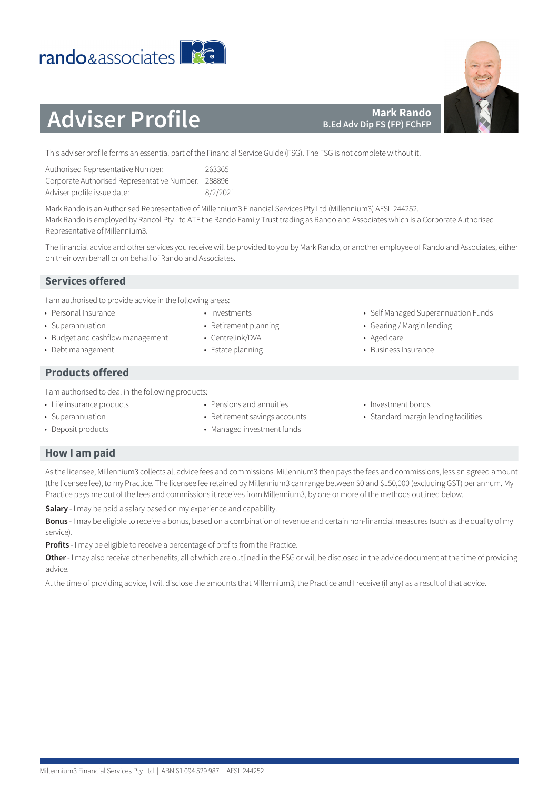# **Products offered**

• Budget and cashflow management

• Pensions and annuities I am authorised to deal in the following products:

- Life insurance products
- Superannuation
- Deposit products

# **How I am paid**

As the licensee, Millennium3 collects all advice fees and commissions. Millennium3 then pays the fees and commissions, less an agreed amount (the licensee fee), to my Practice. The licensee fee retained by Millennium3 can range between \$0 and \$150,000 (excluding GST) per annum. My Practice pays me out of the fees and commissions it receives from Millennium3, by one or more of the methods outlined below.

**Salary** - I may be paid a salary based on my experience and capability.

**Bonus** - I may be eligible to receive a bonus, based on a combination of revenue and certain non-financial measures (such as the quality of my service).

**Profits** - I may be eligible to receive a percentage of profits from the Practice.

**Other** - I may also receive other benefits, all of which are outlined in the FSG or will be disclosed in the advice document at the time of providing advice.

At the time of providing advice, I will disclose the amounts that Millennium3, the Practice and I receive (if any) as a result of that advice.

**Mark Rando B.Ed Adv Dip FS (FP) FChFP**

| Authorised Representative Number:                  | 263365   |
|----------------------------------------------------|----------|
| Corporate Authorised Representative Number: 288896 |          |
| Adviser profile issue date:                        | 8/2/2021 |

Mark Rando is an Authorised Representative of Millennium3 Financial Services Pty Ltd (Millennium3) AFSL 244252. Mark Rando is employed by Rancol Pty Ltd ATF the Rando Family Trust trading as Rando and Associates which is a Corporate Authorised Representative of Millennium3.

The financial advice and other services you receive will be provided to you by Mark Rando, or another employee of Rando and Associates, either on their own behalf or on behalf of Rando and Associates.

# **Services offered**

I am authorised to provide advice in the following areas:

• Personal Insurance • Superannuation

• Debt management

- Investments
	- Retirement planning

• Retirement savings accounts • Managed investment funds

- Centrelink/DVA
- Estate planning
- Self Managed Superannuation Funds
- Gearing / Margin lending
- Aged care
- Business Insurance
- Investment bonds
- Standard margin lending facilities





**Adviser Profile**